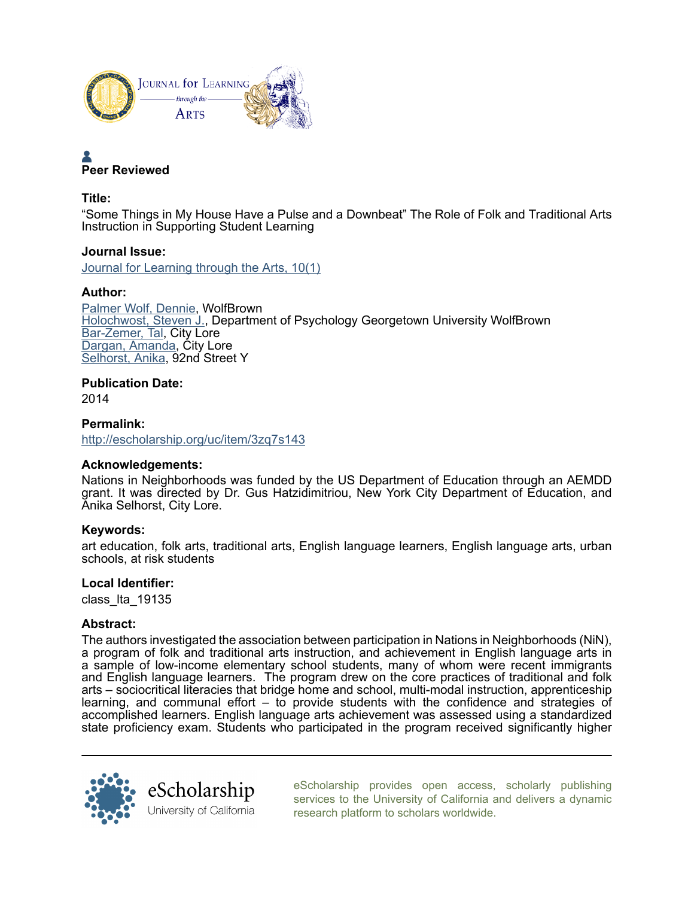

# **Peer Reviewed**

# Title:

"Some Things in My House Have a Pulse and a Downbeat" The Role of Folk and Traditional Arts Instruction in Supporting Student Learning

## Journal Issue:

[Journal for Learning through the Arts, 10\(1\)](http://escholarship.org/uc/class_lta?volume=10;issue=1)

# Author:

[Palmer Wolf, Dennie,](http://escholarship.org/uc/search?creator=Palmer%20Wolf%2C%20Dennie) WolfBrown [Holochwost, Steven J.,](http://escholarship.org/uc/search?creator=Holochwost%2C%20Steven%20J.) Department of Psychology Georgetown University WolfBrown **[Bar-Zemer, Tal](http://escholarship.org/uc/search?creator=Bar-Zemer%2C%20Tal), City Lore** [Dargan, Amanda](http://escholarship.org/uc/search?creator=Dargan%2C%20Amanda), City Lore [Selhorst, Anika,](http://escholarship.org/uc/search?creator=Selhorst%2C%20Anika) 92nd Street Y

# Publication Date:

2014

Permalink: <http://escholarship.org/uc/item/3zq7s143>

#### Acknowledgements:

Nations in Neighborhoods was funded by the US Department of Education through an AEMDD grant. It was directed by Dr. Gus Hatzidimitriou, New York City Department of Education, and Anika Selhorst, City Lore.

#### Keywords:

art education, folk arts, traditional arts, English language learners, English language arts, urban schools, at risk students

#### Local Identifier:

class\_lta\_19135

# Abstract:

The authors investigated the association between participation in Nations in Neighborhoods (NiN), a program of folk and traditional arts instruction, and achievement in English language arts in a sample of low-income elementary school students, many of whom were recent immigrants and English language learners. The program drew on the core practices of traditional and folk arts – sociocritical literacies that bridge home and school, multi-modal instruction, apprenticeship learning, and communal effort – to provide students with the confidence and strategies of accomplished learners. English language arts achievement was assessed using a standardized state proficiency exam. Students who participated in the program received significantly higher



[eScholarship provides open access, scholarly publishing](http://escholarship.org) [services to the University of California and delivers a dynamic](http://escholarship.org) [research platform to scholars worldwide.](http://escholarship.org)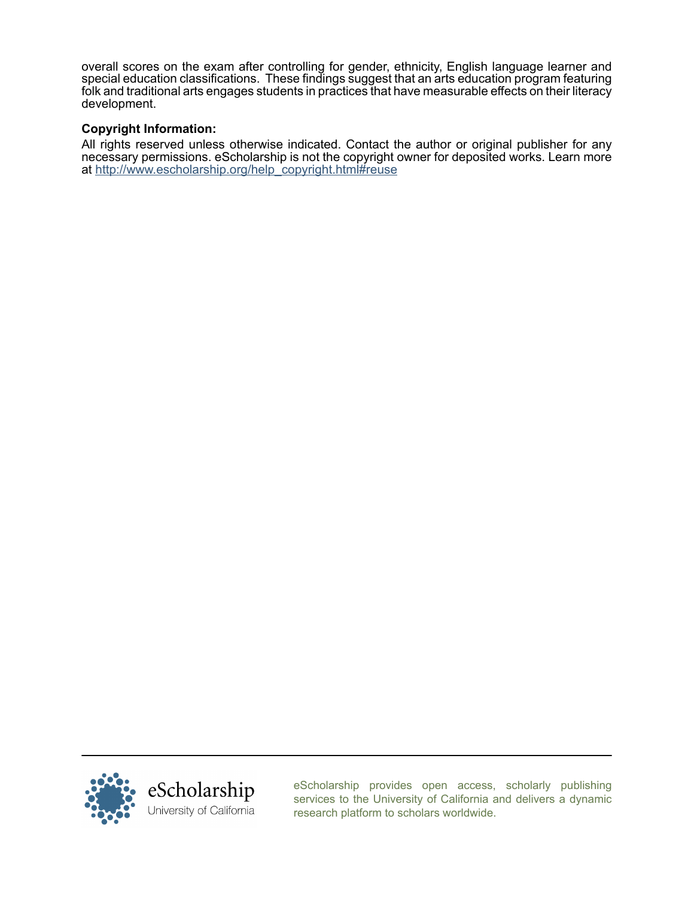overall scores on the exam after controlling for gender, ethnicity, English language learner and special education classifications. These findings suggest that an arts education program featuring folk and traditional arts engages students in practices that have measurable effects on their literacy development.

# Copyright Information:

All rights reserved unless otherwise indicated. Contact the author or original publisher for any necessary permissions. eScholarship is not the copyright owner for deposited works. Learn more at [http://www.escholarship.org/help\\_copyright.html#reuse](http://www.escholarship.org/help_copyright.html#reuse)



[eScholarship provides open access, scholarly publishing](http://escholarship.org) [services to the University of California and delivers a dynamic](http://escholarship.org) [research platform to scholars worldwide.](http://escholarship.org)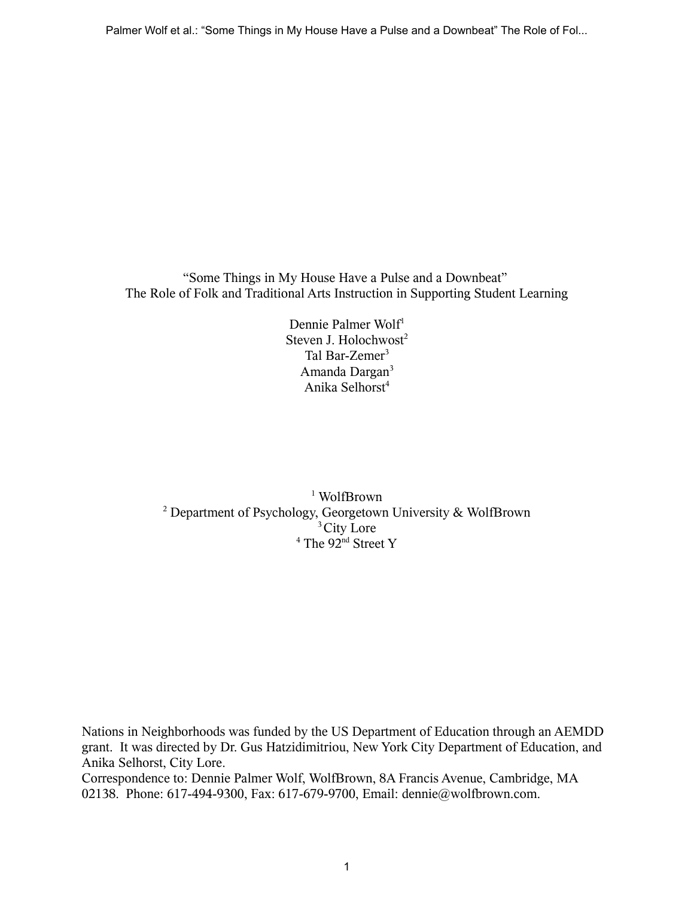Palmer Wolf et al.: "Some Things in My House Have a Pulse and a Downbeat" The Role of Fol...

"Some Things in My House Have a Pulse and a Downbeat" The Role of Folk and Traditional Arts Instruction in Supporting Student Learning

> Dennie Palmer Wolf<sup>1</sup> Steven J. Holochwost<sup>2</sup> Tal Bar-Zemer<sup>3</sup> Amanda Dargan<sup>3</sup> Anika Selhorst<sup>4</sup>

1 WolfBrown <sup>2</sup> Department of Psychology, Georgetown University & WolfBrown <sup>3</sup>City Lore <sup>4</sup> The 92<sup>nd</sup> Street Y

Nations in Neighborhoods was funded by the US Department of Education through an AEMDD grant. It was directed by Dr. Gus Hatzidimitriou, New York City Department of Education, and Anika Selhorst, City Lore.

Correspondence to: Dennie Palmer Wolf, WolfBrown, 8A Francis Avenue, Cambridge, MA 02138. Phone: 617-494-9300, Fax: 617-679-9700, Email: dennie@wolfbrown.com.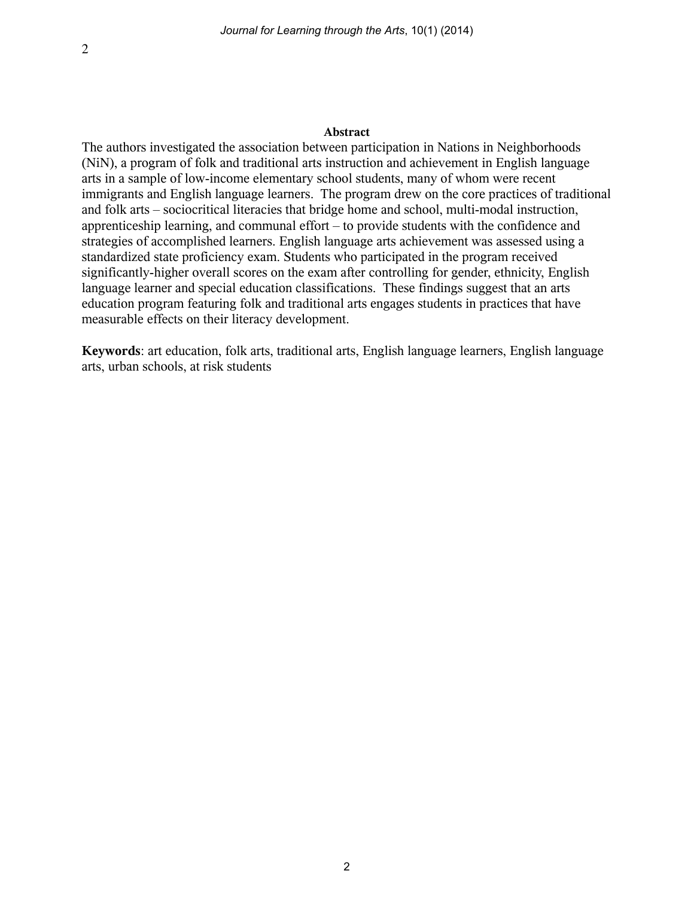#### **Abstract**

The authors investigated the association between participation in Nations in Neighborhoods (NiN), a program of folk and traditional arts instruction and achievement in English language arts in a sample of low-income elementary school students, many of whom were recent immigrants and English language learners. The program drew on the core practices of traditional and folk arts – sociocritical literacies that bridge home and school, multi-modal instruction, apprenticeship learning, and communal effort – to provide students with the confidence and strategies of accomplished learners. English language arts achievement was assessed using a standardized state proficiency exam. Students who participated in the program received significantly-higher overall scores on the exam after controlling for gender, ethnicity, English language learner and special education classifications. These findings suggest that an arts education program featuring folk and traditional arts engages students in practices that have measurable effects on their literacy development.

**Keywords**: art education, folk arts, traditional arts, English language learners, English language arts, urban schools, at risk students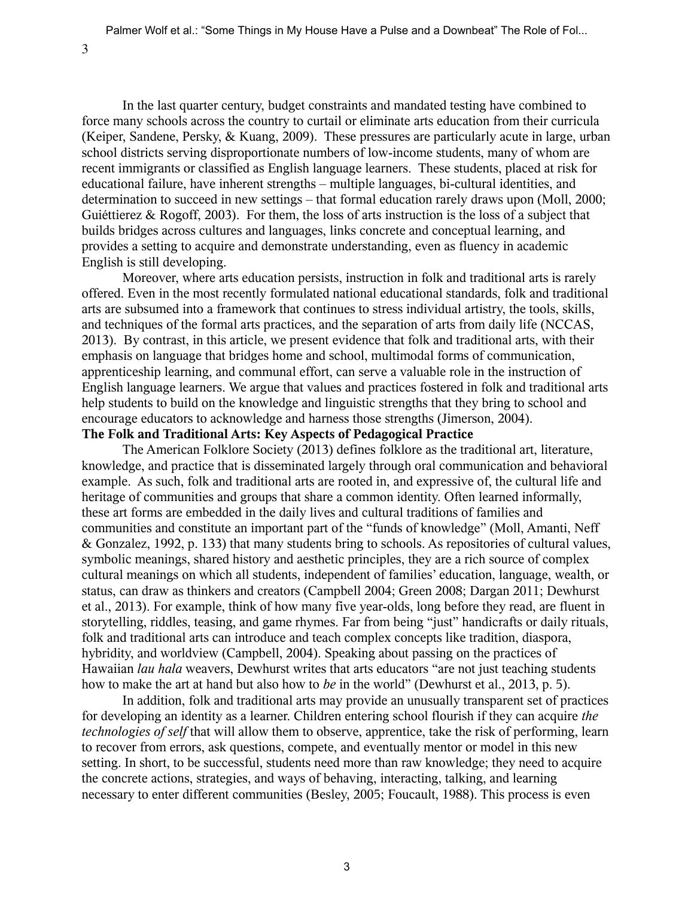In the last quarter century, budget constraints and mandated testing have combined to force many schools across the country to curtail or eliminate arts education from their curricula (Keiper, Sandene, Persky, & Kuang, 2009). These pressures are particularly acute in large, urban school districts serving disproportionate numbers of low-income students, many of whom are recent immigrants or classified as English language learners. These students, placed at risk for educational failure, have inherent strengths – multiple languages, bi-cultural identities, and determination to succeed in new settings – that formal education rarely draws upon (Moll, 2000; Guiéttierez & Rogoff, 2003). For them, the loss of arts instruction is the loss of a subject that builds bridges across cultures and languages, links concrete and conceptual learning, and provides a setting to acquire and demonstrate understanding, even as fluency in academic English is still developing.

Moreover, where arts education persists, instruction in folk and traditional arts is rarely offered. Even in the most recently formulated national educational standards, folk and traditional arts are subsumed into a framework that continues to stress individual artistry, the tools, skills, and techniques of the formal arts practices, and the separation of arts from daily life (NCCAS, 2013). By contrast, in this article, we present evidence that folk and traditional arts, with their emphasis on language that bridges home and school, multimodal forms of communication, apprenticeship learning, and communal effort, can serve a valuable role in the instruction of English language learners. We argue that values and practices fostered in folk and traditional arts help students to build on the knowledge and linguistic strengths that they bring to school and encourage educators to acknowledge and harness those strengths (Jimerson, 2004).

# **The Folk and Traditional Arts: Key Aspects of Pedagogical Practice**

The American Folklore Society (2013) defines folklore as the traditional art, literature, knowledge, and practice that is disseminated largely through oral communication and behavioral example. As such, folk and traditional arts are rooted in, and expressive of, the cultural life and heritage of communities and groups that share a common identity. Often learned informally, these art forms are embedded in the daily lives and cultural traditions of families and communities and constitute an important part of the "funds of knowledge" (Moll, Amanti, Neff & Gonzalez, 1992, p. 133) that many students bring to schools. As repositories of cultural values, symbolic meanings, shared history and aesthetic principles, they are a rich source of complex cultural meanings on which all students, independent of families' education, language, wealth, or status, can draw as thinkers and creators (Campbell 2004; Green 2008; Dargan 2011; Dewhurst et al., 2013). For example, think of how many five year-olds, long before they read, are fluent in storytelling, riddles, teasing, and game rhymes. Far from being "just" handicrafts or daily rituals, folk and traditional arts can introduce and teach complex concepts like tradition, diaspora, hybridity, and worldview (Campbell, 2004). Speaking about passing on the practices of Hawaiian *lau hala* weavers, Dewhurst writes that arts educators "are not just teaching students how to make the art at hand but also how to *be* in the world" (Dewhurst et al., 2013, p. 5).

In addition, folk and traditional arts may provide an unusually transparent set of practices for developing an identity as a learner. Children entering school flourish if they can acquire *the technologies of self* that will allow them to observe, apprentice, take the risk of performing, learn to recover from errors, ask questions, compete, and eventually mentor or model in this new setting. In short, to be successful, students need more than raw knowledge; they need to acquire the concrete actions, strategies, and ways of behaving, interacting, talking, and learning necessary to enter different communities (Besley, 2005; Foucault, 1988). This process is even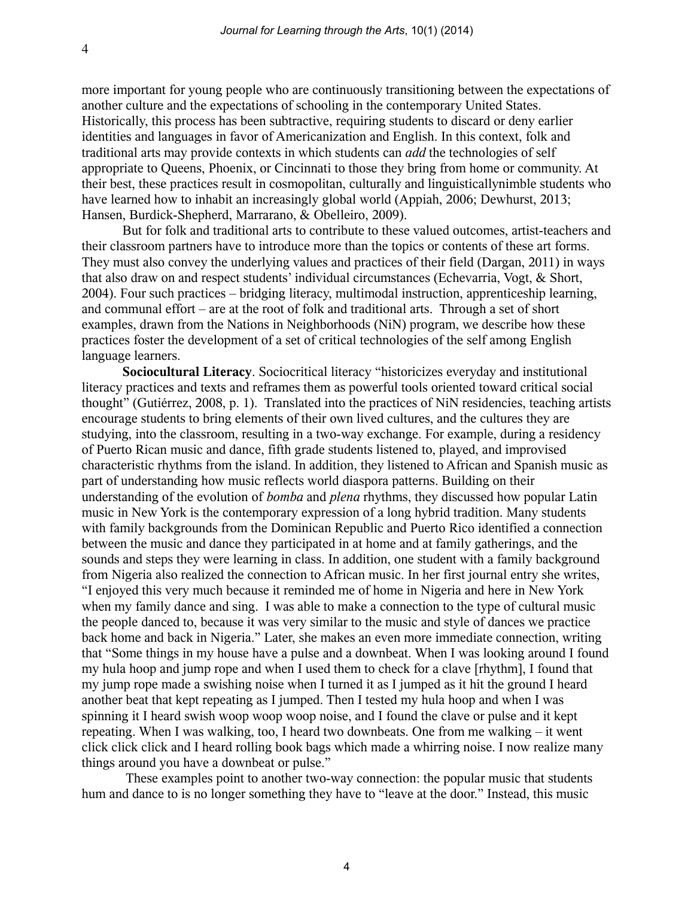more important for young people who are continuously transitioning between the expectations of another culture and the expectations of schooling in the contemporary United States. Historically, this process has been subtractive, requiring students to discard or deny earlier identities and languages in favor of Americanization and English. In this context, folk and traditional arts may provide contexts in which students can *add* the technologies of self appropriate to Queens, Phoenix, or Cincinnati to those they bring from home or community. At their best, these practices result in cosmopolitan, culturally and linguisticallynimble students who have learned how to inhabit an increasingly global world (Appiah, 2006; Dewhurst, 2013; Hansen, Burdick-Shepherd, Marrarano, & Obelleiro, 2009).

But for folk and traditional arts to contribute to these valued outcomes, artist-teachers and their classroom partners have to introduce more than the topics or contents of these art forms. They must also convey the underlying values and practices of their field (Dargan, 2011) in ways that also draw on and respect students' individual circumstances (Echevarria, Vogt, & Short, 2004). Four such practices – bridging literacy, multimodal instruction, apprenticeship learning, and communal effort – are at the root of folk and traditional arts. Through a set of short examples, drawn from the Nations in Neighborhoods (NiN) program, we describe how these practices foster the development of a set of critical technologies of the self among English language learners.

**Sociocultural Literacy**. Sociocritical literacy "historicizes everyday and institutional literacy practices and texts and reframes them as powerful tools oriented toward critical social thought" (Gutiérrez, 2008, p. 1). Translated into the practices of NiN residencies, teaching artists encourage students to bring elements of their own lived cultures, and the cultures they are studying, into the classroom, resulting in a two-way exchange. For example, during a residency of Puerto Rican music and dance, fifth grade students listened to, played, and improvised characteristic rhythms from the island. In addition, they listened to African and Spanish music as part of understanding how music reflects world diaspora patterns. Building on their understanding of the evolution of *bomba* and *plena* rhythms, they discussed how popular Latin music in New York is the contemporary expression of a long hybrid tradition. Many students with family backgrounds from the Dominican Republic and Puerto Rico identified a connection between the music and dance they participated in at home and at family gatherings, and the sounds and steps they were learning in class. In addition, one student with a family background from Nigeria also realized the connection to African music. In her first journal entry she writes, "I enjoyed this very much because it reminded me of home in Nigeria and here in New York when my family dance and sing. I was able to make a connection to the type of cultural music the people danced to, because it was very similar to the music and style of dances we practice back home and back in Nigeria." Later, she makes an even more immediate connection, writing that "Some things in my house have a pulse and a downbeat. When I was looking around I found my hula hoop and jump rope and when I used them to check for a clave [rhythm], I found that my jump rope made a swishing noise when I turned it as I jumped as it hit the ground I heard another beat that kept repeating as I jumped. Then I tested my hula hoop and when I was spinning it I heard swish woop woop woop noise, and I found the clave or pulse and it kept repeating. When I was walking, too, I heard two downbeats. One from me walking – it went click click click and I heard rolling book bags which made a whirring noise. I now realize many things around you have a downbeat or pulse."

 These examples point to another two-way connection: the popular music that students hum and dance to is no longer something they have to "leave at the door." Instead, this music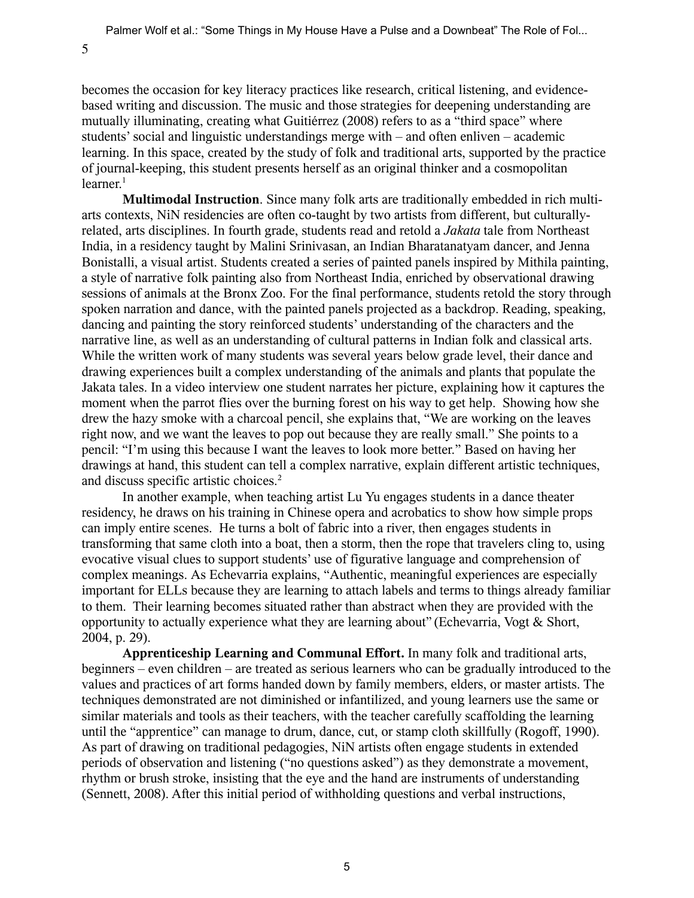becomes the occasion for key literacy practices like research, critical listening, and evidencebased writing and discussion. The music and those strategies for deepening understanding are mutually illuminating, creating what Guitiérrez (2008) refers to as a "third space" where students' social and linguistic understandings merge with – and often enliven – academic learning. In this space, created by the study of folk and traditional arts, supported by the practice of journal-keeping, this student presents herself as an original thinker and a cosmopolitan  $learner.<sup>1</sup>$ 

**Multimodal Instruction**. Since many folk arts are traditionally embedded in rich multiarts contexts, NiN residencies are often co-taught by two artists from different, but culturallyrelated, arts disciplines. In fourth grade, students read and retold a *Jakata* tale from Northeast India, in a residency taught by Malini Srinivasan, an Indian Bharatanatyam dancer, and Jenna Bonistalli, a visual artist. Students created a series of painted panels inspired by Mithila painting, a style of narrative folk painting also from Northeast India, enriched by observational drawing sessions of animals at the Bronx Zoo. For the final performance, students retold the story through spoken narration and dance, with the painted panels projected as a backdrop. Reading, speaking, dancing and painting the story reinforced students' understanding of the characters and the narrative line, as well as an understanding of cultural patterns in Indian folk and classical arts. While the written work of many students was several years below grade level, their dance and drawing experiences built a complex understanding of the animals and plants that populate the Jakata tales. In a video interview one student narrates her picture, explaining how it captures the moment when the parrot flies over the burning forest on his way to get help. Showing how she drew the hazy smoke with a charcoal pencil, she explains that, "We are working on the leaves right now, and we want the leaves to pop out because they are really small." She points to a pencil: "I'm using this because I want the leaves to look more better." Based on having her drawings at hand, this student can tell a complex narrative, explain different artistic techniques, and discuss specific artistic choices.<sup>2</sup>

In another example, when teaching artist Lu Yu engages students in a dance theater residency, he draws on his training in Chinese opera and acrobatics to show how simple props can imply entire scenes. He turns a bolt of fabric into a river, then engages students in transforming that same cloth into a boat, then a storm, then the rope that travelers cling to, using evocative visual clues to support students' use of figurative language and comprehension of complex meanings. As Echevarria explains, "Authentic, meaningful experiences are especially important for ELLs because they are learning to attach labels and terms to things already familiar to them. Their learning becomes situated rather than abstract when they are provided with the opportunity to actually experience what they are learning about" (Echevarria, Vogt & Short, 2004, p. 29).

**Apprenticeship Learning and Communal Effort.** In many folk and traditional arts, beginners – even children – are treated as serious learners who can be gradually introduced to the values and practices of art forms handed down by family members, elders, or master artists. The techniques demonstrated are not diminished or infantilized, and young learners use the same or similar materials and tools as their teachers, with the teacher carefully scaffolding the learning until the "apprentice" can manage to drum, dance, cut, or stamp cloth skillfully (Rogoff, 1990). As part of drawing on traditional pedagogies, NiN artists often engage students in extended periods of observation and listening ("no questions asked") as they demonstrate a movement, rhythm or brush stroke, insisting that the eye and the hand are instruments of understanding (Sennett, 2008). After this initial period of withholding questions and verbal instructions,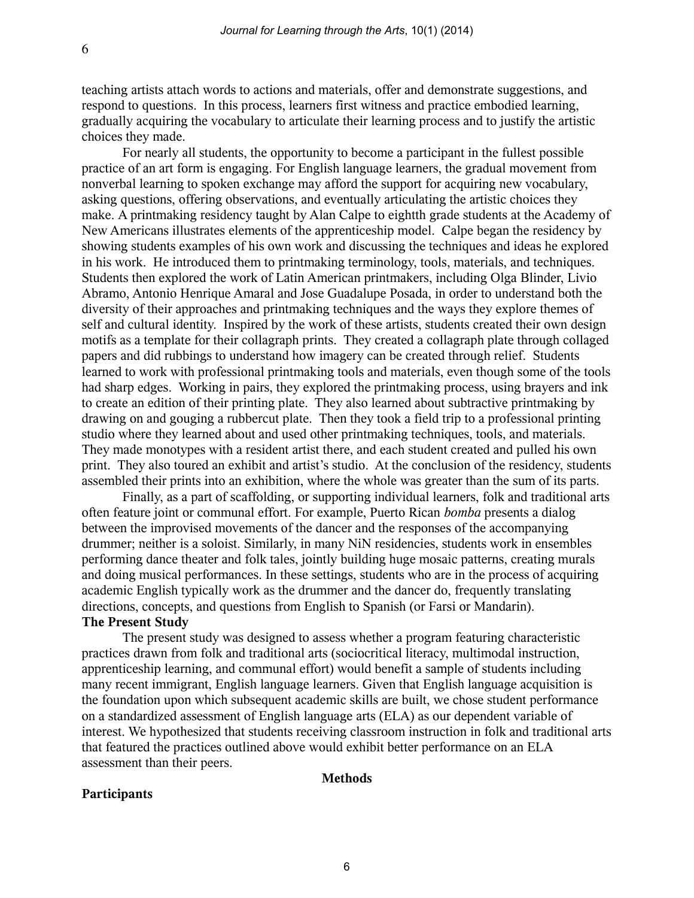teaching artists attach words to actions and materials, offer and demonstrate suggestions, and respond to questions. In this process, learners first witness and practice embodied learning, gradually acquiring the vocabulary to articulate their learning process and to justify the artistic choices they made.

 For nearly all students, the opportunity to become a participant in the fullest possible practice of an art form is engaging. For English language learners, the gradual movement from nonverbal learning to spoken exchange may afford the support for acquiring new vocabulary, asking questions, offering observations, and eventually articulating the artistic choices they make. A printmaking residency taught by Alan Calpe to eightth grade students at the Academy of New Americans illustrates elements of the apprenticeship model. Calpe began the residency by showing students examples of his own work and discussing the techniques and ideas he explored in his work. He introduced them to printmaking terminology, tools, materials, and techniques. Students then explored the work of Latin American printmakers, including Olga Blinder, Livio Abramo, Antonio Henrique Amaral and Jose Guadalupe Posada, in order to understand both the diversity of their approaches and printmaking techniques and the ways they explore themes of self and cultural identity. Inspired by the work of these artists, students created their own design motifs as a template for their collagraph prints. They created a collagraph plate through collaged papers and did rubbings to understand how imagery can be created through relief. Students learned to work with professional printmaking tools and materials, even though some of the tools had sharp edges. Working in pairs, they explored the printmaking process, using brayers and ink to create an edition of their printing plate. They also learned about subtractive printmaking by drawing on and gouging a rubbercut plate. Then they took a field trip to a professional printing studio where they learned about and used other printmaking techniques, tools, and materials. They made monotypes with a resident artist there, and each student created and pulled his own print. They also toured an exhibit and artist's studio. At the conclusion of the residency, students assembled their prints into an exhibition, where the whole was greater than the sum of its parts.

Finally, as a part of scaffolding, or supporting individual learners, folk and traditional arts often feature joint or communal effort. For example, Puerto Rican *bomba* presents a dialog between the improvised movements of the dancer and the responses of the accompanying drummer; neither is a soloist. Similarly, in many NiN residencies, students work in ensembles performing dance theater and folk tales, jointly building huge mosaic patterns, creating murals and doing musical performances. In these settings, students who are in the process of acquiring academic English typically work as the drummer and the dancer do, frequently translating directions, concepts, and questions from English to Spanish (or Farsi or Mandarin).

## **The Present Study**

The present study was designed to assess whether a program featuring characteristic practices drawn from folk and traditional arts (sociocritical literacy, multimodal instruction, apprenticeship learning, and communal effort) would benefit a sample of students including many recent immigrant, English language learners. Given that English language acquisition is the foundation upon which subsequent academic skills are built, we chose student performance on a standardized assessment of English language arts (ELA) as our dependent variable of interest. We hypothesized that students receiving classroom instruction in folk and traditional arts that featured the practices outlined above would exhibit better performance on an ELA assessment than their peers.

#### **Methods**

## **Participants**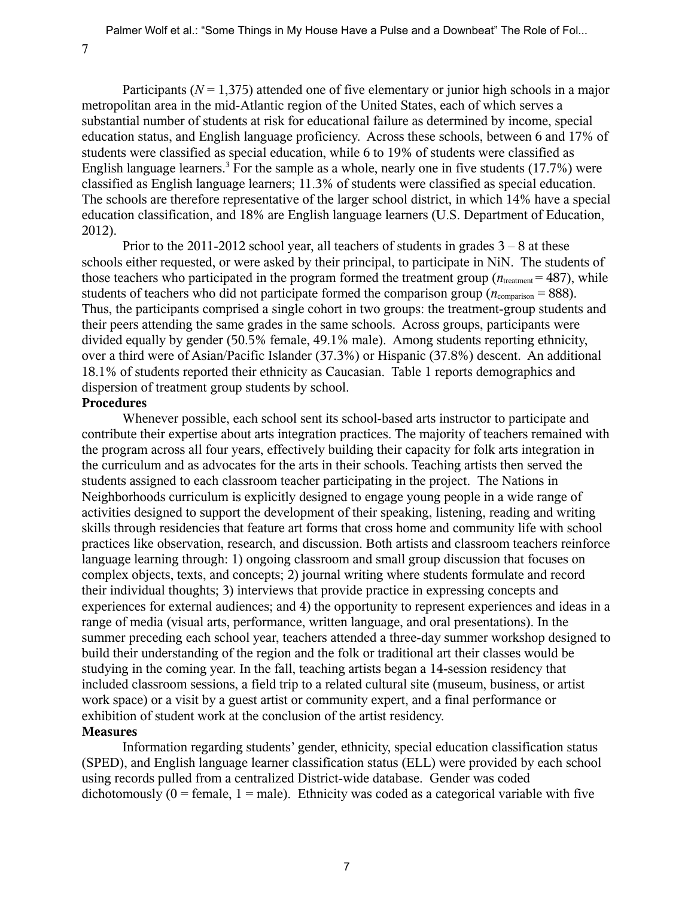Participants (*N* = 1,375) attended one of five elementary or junior high schools in a major metropolitan area in the mid-Atlantic region of the United States, each of which serves a substantial number of students at risk for educational failure as determined by income, special education status, and English language proficiency. Across these schools, between 6 and 17% of students were classified as special education, while 6 to 19% of students were classified as English language learners.<sup>3</sup> For the sample as a whole, nearly one in five students  $(17.7%)$  were classified as English language learners; 11.3% of students were classified as special education. The schools are therefore representative of the larger school district, in which 14% have a special education classification, and 18% are English language learners (U.S. Department of Education, 2012).

Prior to the  $2011-2012$  school year, all teachers of students in grades  $3-8$  at these schools either requested, or were asked by their principal, to participate in NiN. The students of those teachers who participated in the program formed the treatment group  $(n_{\text{treatment}} = 487)$ , while students of teachers who did not participate formed the comparison group ( $n_{\text{comparison}} = 888$ ). Thus, the participants comprised a single cohort in two groups: the treatment-group students and their peers attending the same grades in the same schools. Across groups, participants were divided equally by gender (50.5% female, 49.1% male). Among students reporting ethnicity, over a third were of Asian/Pacific Islander (37.3%) or Hispanic (37.8%) descent. An additional 18.1% of students reported their ethnicity as Caucasian. Table 1 reports demographics and dispersion of treatment group students by school.

#### **Procedures**

Whenever possible, each school sent its school-based arts instructor to participate and contribute their expertise about arts integration practices. The majority of teachers remained with the program across all four years, effectively building their capacity for folk arts integration in the curriculum and as advocates for the arts in their schools. Teaching artists then served the students assigned to each classroom teacher participating in the project. The Nations in Neighborhoods curriculum is explicitly designed to engage young people in a wide range of activities designed to support the development of their speaking, listening, reading and writing skills through residencies that feature art forms that cross home and community life with school practices like observation, research, and discussion. Both artists and classroom teachers reinforce language learning through: 1) ongoing classroom and small group discussion that focuses on complex objects, texts, and concepts; 2) journal writing where students formulate and record their individual thoughts; 3) interviews that provide practice in expressing concepts and experiences for external audiences; and 4) the opportunity to represent experiences and ideas in a range of media (visual arts, performance, written language, and oral presentations). In the summer preceding each school year, teachers attended a three-day summer workshop designed to build their understanding of the region and the folk or traditional art their classes would be studying in the coming year. In the fall, teaching artists began a 14-session residency that included classroom sessions, a field trip to a related cultural site (museum, business, or artist work space) or a visit by a guest artist or community expert, and a final performance or exhibition of student work at the conclusion of the artist residency.

#### **Measures**

Information regarding students' gender, ethnicity, special education classification status (SPED), and English language learner classification status (ELL) were provided by each school using records pulled from a centralized District-wide database. Gender was coded dichotomously  $(0 = \text{female}, 1 = \text{male})$ . Ethnicity was coded as a categorical variable with five

7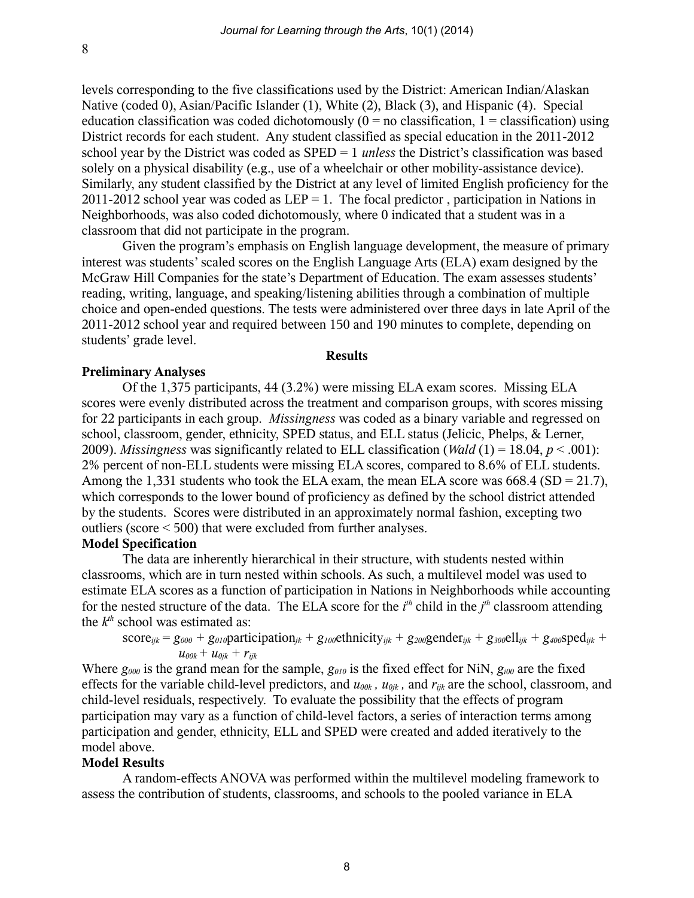levels corresponding to the five classifications used by the District: American Indian/Alaskan Native (coded 0), Asian/Pacific Islander (1), White (2), Black (3), and Hispanic (4). Special education classification was coded dichotomously  $(0 = no$  classification,  $1 =$  classification) using District records for each student. Any student classified as special education in the 2011-2012 school year by the District was coded as SPED = 1 *unless* the District's classification was based solely on a physical disability (e.g., use of a wheelchair or other mobility-assistance device). Similarly, any student classified by the District at any level of limited English proficiency for the 2011-2012 school year was coded as  $LEP = 1$ . The focal predictor, participation in Nations in Neighborhoods, was also coded dichotomously, where 0 indicated that a student was in a classroom that did not participate in the program.

Given the program's emphasis on English language development, the measure of primary interest was students' scaled scores on the English Language Arts (ELA) exam designed by the McGraw Hill Companies for the state's Department of Education. The exam assesses students' reading, writing, language, and speaking/listening abilities through a combination of multiple choice and open-ended questions. The tests were administered over three days in late April of the 2011-2012 school year and required between 150 and 190 minutes to complete, depending on students' grade level.

#### **Results**

#### **Preliminary Analyses**

Of the 1,375 participants, 44 (3.2%) were missing ELA exam scores. Missing ELA scores were evenly distributed across the treatment and comparison groups, with scores missing for 22 participants in each group. *Missingness* was coded as a binary variable and regressed on school, classroom, gender, ethnicity, SPED status, and ELL status (Jelicic, Phelps, & Lerner, 2009). *Missingness* was significantly related to ELL classification (*Wald* (1) = 18.04,  $p < .001$ ): 2% percent of non-ELL students were missing ELA scores, compared to 8.6% of ELL students. Among the 1,331 students who took the ELA exam, the mean ELA score was  $668.4$  (SD = 21.7), which corresponds to the lower bound of proficiency as defined by the school district attended by the students. Scores were distributed in an approximately normal fashion, excepting two outliers (score < 500) that were excluded from further analyses.

# **Model Specification**

The data are inherently hierarchical in their structure, with students nested within classrooms, which are in turn nested within schools. As such, a multilevel model was used to estimate ELA scores as a function of participation in Nations in Neighborhoods while accounting for the nested structure of the data. The ELA score for the  $i<sup>th</sup>$  child in the  $j<sup>th</sup>$  classroom attending the *k th* school was estimated as:

score<sub>iik</sub> =  $g_{000} + g_{010}$ participation<sub>ik</sub> +  $g_{100}$ ethnicity<sub>iik</sub> +  $g_{200}$ gender<sub>ijk</sub> +  $g_{300}$ ell<sub>ijk</sub> +  $g_{400}$ sped<sub>ijk</sub> +  $u_{00k} + u_{0jk} + r_{ijk}$ 

Where *g<sup>000</sup>* is the grand mean for the sample, *g<sup>010</sup>* is the fixed effect for NiN, *gi00* are the fixed effects for the variable child-level predictors, and *u00k , u0jk ,* and *rijk* are the school, classroom, and child-level residuals, respectively. To evaluate the possibility that the effects of program participation may vary as a function of child-level factors, a series of interaction terms among participation and gender, ethnicity, ELL and SPED were created and added iteratively to the model above.

#### **Model Results**

A random-effects ANOVA was performed within the multilevel modeling framework to assess the contribution of students, classrooms, and schools to the pooled variance in ELA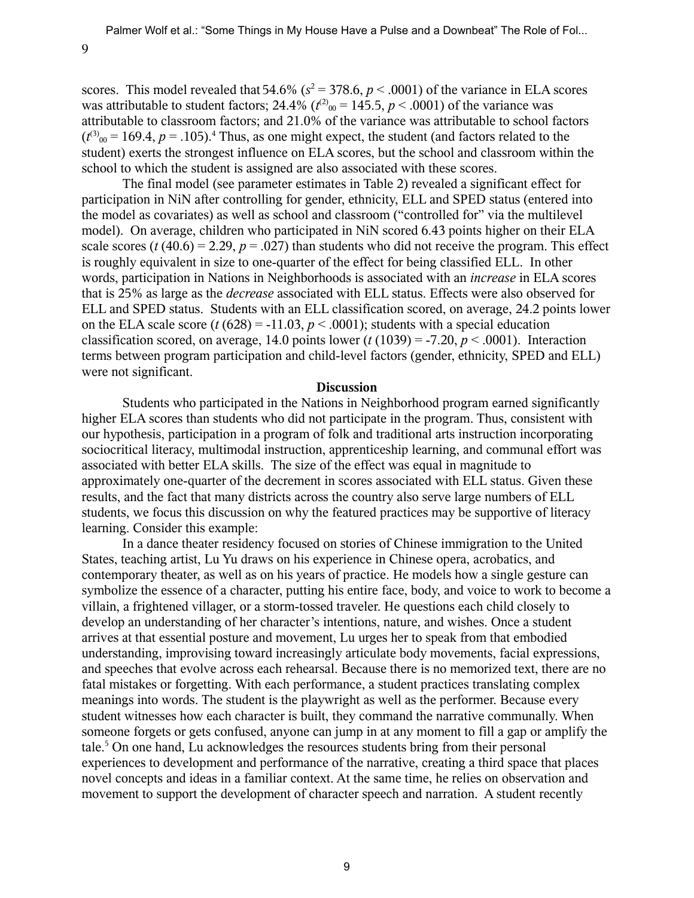scores. This model revealed that 54.6% ( $s^2$  = 378.6,  $p$  < .0001) of the variance in ELA scores was attributable to student factors;  $24.4\%$  ( $t^{(2)}_{00}$  = 145.5,  $p < .0001$ ) of the variance was attributable to classroom factors; and 21.0% of the variance was attributable to school factors  $(t^{(3)}_{00} = 169.4, p = .105)$ .<sup>4</sup> Thus, as one might expect, the student (and factors related to the student) exerts the strongest influence on ELA scores, but the school and classroom within the school to which the student is assigned are also associated with these scores.

The final model (see parameter estimates in Table 2) revealed a significant effect for participation in NiN after controlling for gender, ethnicity, ELL and SPED status (entered into the model as covariates) as well as school and classroom ("controlled for" via the multilevel model). On average, children who participated in NiN scored 6.43 points higher on their ELA scale scores ( $t$  (40.6) = 2.29,  $p = .027$ ) than students who did not receive the program. This effect is roughly equivalent in size to one-quarter of the effect for being classified ELL. In other words, participation in Nations in Neighborhoods is associated with an *increase* in ELA scores that is 25% as large as the *decrease* associated with ELL status. Effects were also observed for ELL and SPED status. Students with an ELL classification scored, on average, 24.2 points lower on the ELA scale score  $(t (628) = -11.03, p < .0001)$ ; students with a special education classification scored, on average, 14.0 points lower ( $t$  (1039) = -7.20,  $p$  < .0001). Interaction terms between program participation and child-level factors (gender, ethnicity, SPED and ELL) were not significant.

#### **Discussion**

Students who participated in the Nations in Neighborhood program earned significantly higher ELA scores than students who did not participate in the program. Thus, consistent with our hypothesis, participation in a program of folk and traditional arts instruction incorporating sociocritical literacy, multimodal instruction, apprenticeship learning, and communal effort was associated with better ELA skills. The size of the effect was equal in magnitude to approximately one-quarter of the decrement in scores associated with ELL status. Given these results, and the fact that many districts across the country also serve large numbers of ELL students, we focus this discussion on why the featured practices may be supportive of literacy learning. Consider this example:

In a dance theater residency focused on stories of Chinese immigration to the United States, teaching artist, Lu Yu draws on his experience in Chinese opera, acrobatics, and contemporary theater, as well as on his years of practice. He models how a single gesture can symbolize the essence of a character, putting his entire face, body, and voice to work to become a villain, a frightened villager, or a storm-tossed traveler. He questions each child closely to develop an understanding of her character's intentions, nature, and wishes. Once a student arrives at that essential posture and movement, Lu urges her to speak from that embodied understanding, improvising toward increasingly articulate body movements, facial expressions, and speeches that evolve across each rehearsal. Because there is no memorized text, there are no fatal mistakes or forgetting. With each performance, a student practices translating complex meanings into words. The student is the playwright as well as the performer. Because every student witnesses how each character is built, they command the narrative communally. When someone forgets or gets confused, anyone can jump in at any moment to fill a gap or amplify the tale.<sup>5</sup> On one hand, Lu acknowledges the resources students bring from their personal experiences to development and performance of the narrative, creating a third space that places novel concepts and ideas in a familiar context. At the same time, he relies on observation and movement to support the development of character speech and narration. A student recently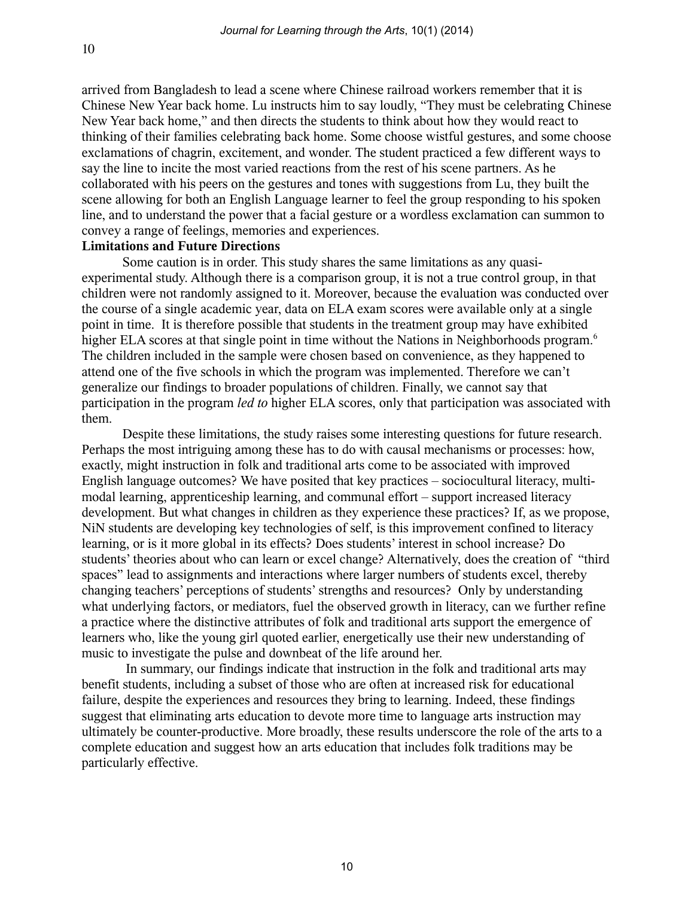arrived from Bangladesh to lead a scene where Chinese railroad workers remember that it is Chinese New Year back home. Lu instructs him to say loudly, "They must be celebrating Chinese New Year back home," and then directs the students to think about how they would react to thinking of their families celebrating back home. Some choose wistful gestures, and some choose exclamations of chagrin, excitement, and wonder. The student practiced a few different ways to say the line to incite the most varied reactions from the rest of his scene partners. As he collaborated with his peers on the gestures and tones with suggestions from Lu, they built the scene allowing for both an English Language learner to feel the group responding to his spoken line, and to understand the power that a facial gesture or a wordless exclamation can summon to convey a range of feelings, memories and experiences.

#### **Limitations and Future Directions**

Some caution is in order. This study shares the same limitations as any quasiexperimental study. Although there is a comparison group, it is not a true control group, in that children were not randomly assigned to it. Moreover, because the evaluation was conducted over the course of a single academic year, data on ELA exam scores were available only at a single point in time. It is therefore possible that students in the treatment group may have exhibited higher ELA scores at that single point in time without the Nations in Neighborhoods program.<sup>6</sup> The children included in the sample were chosen based on convenience, as they happened to attend one of the five schools in which the program was implemented. Therefore we can't generalize our findings to broader populations of children. Finally, we cannot say that participation in the program *led to* higher ELA scores, only that participation was associated with them.

Despite these limitations, the study raises some interesting questions for future research. Perhaps the most intriguing among these has to do with causal mechanisms or processes: how, exactly, might instruction in folk and traditional arts come to be associated with improved English language outcomes? We have posited that key practices – sociocultural literacy, multimodal learning, apprenticeship learning, and communal effort – support increased literacy development. But what changes in children as they experience these practices? If, as we propose, NiN students are developing key technologies of self, is this improvement confined to literacy learning, or is it more global in its effects? Does students' interest in school increase? Do students' theories about who can learn or excel change? Alternatively, does the creation of "third spaces" lead to assignments and interactions where larger numbers of students excel, thereby changing teachers' perceptions of students' strengths and resources? Only by understanding what underlying factors, or mediators, fuel the observed growth in literacy, can we further refine a practice where the distinctive attributes of folk and traditional arts support the emergence of learners who, like the young girl quoted earlier, energetically use their new understanding of music to investigate the pulse and downbeat of the life around her.

 In summary, our findings indicate that instruction in the folk and traditional arts may benefit students, including a subset of those who are often at increased risk for educational failure, despite the experiences and resources they bring to learning. Indeed, these findings suggest that eliminating arts education to devote more time to language arts instruction may ultimately be counter-productive. More broadly, these results underscore the role of the arts to a complete education and suggest how an arts education that includes folk traditions may be particularly effective.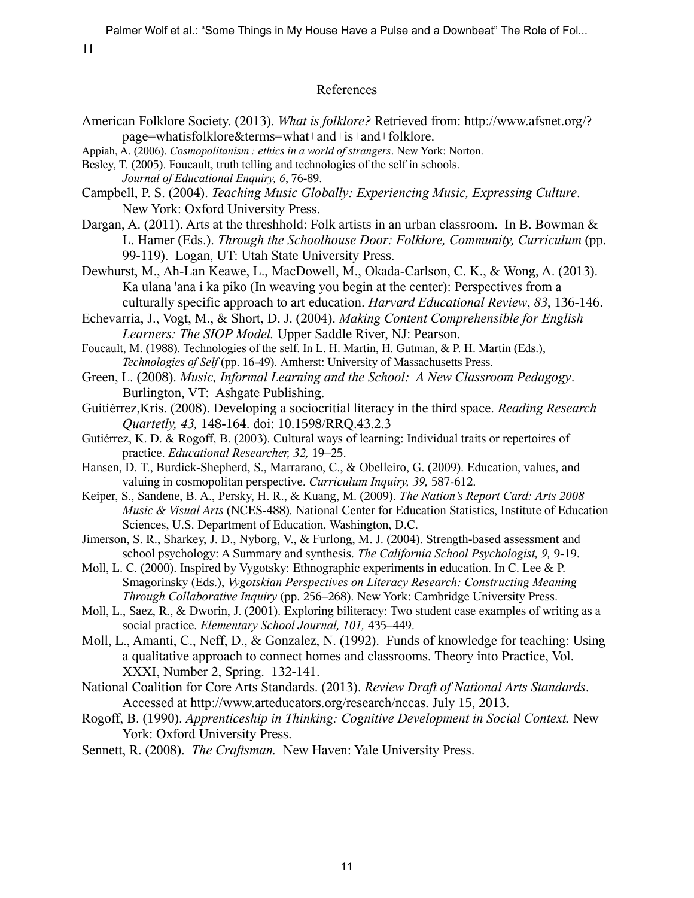# References

- American Folklore Society. (2013). *What is folklore?* Retrieved from: http://www.afsnet.org/? page=whatisfolklore&terms=what+and+is+and+folklore.
- Appiah, A. (2006). *Cosmopolitanism : ethics in a world of strangers*. New York: Norton.
- Besley, T. (2005). Foucault, truth telling and technologies of the self in schools. *Journal of Educational Enquiry, 6*, 76-89.
- Campbell, P. S. (2004). *Teaching Music Globally: Experiencing Music, Expressing Culture*. New York: Oxford University Press.
- Dargan, A. (2011). Arts at the threshhold: Folk artists in an urban classroom. In B. Bowman & L. Hamer (Eds.). *Through the Schoolhouse Door: Folklore, Community, Curriculum* (pp. 99-119). Logan, UT: Utah State University Press.
- Dewhurst, M., Ah-Lan Keawe, L., MacDowell, M., Okada-Carlson, C. K., & Wong, A. (2013). Ka ulana 'ana i ka piko (In weaving you begin at the center): Perspectives from a culturally specific approach to art education. *Harvard Educational Review*, *83*, 136-146.
- Echevarria, J., Vogt, M., & Short, D. J. (2004). *Making Content Comprehensible for English Learners: The SIOP Model.* Upper Saddle River, NJ: Pearson.
- Foucault, M. (1988). Technologies of the self. In L. H. Martin, H. Gutman, & P. H. Martin (Eds.), *Technologies of Self* (pp. 16-49)*.* Amherst: University of Massachusetts Press.
- Green, L. (2008). *Music, Informal Learning and the School: A New Classroom Pedagogy*. Burlington, VT: Ashgate Publishing.
- Guitiérrez,Kris. (2008). Developing a sociocritial literacy in the third space. *Reading Research Quartetly, 43,* 148-164. doi: 10.1598/RRQ.43.2.3
- Gutiérrez, K. D. & Rogoff, B. (2003). Cultural ways of learning: Individual traits or repertoires of practice. *Educational Researcher, 32,* 19–25.
- Hansen, D. T., Burdick-Shepherd, S., Marrarano, C., & Obelleiro, G. (2009). Education, values, and valuing in cosmopolitan perspective. *Curriculum Inquiry, 39,* 587-612.
- Keiper, S., Sandene, B. A., Persky, H. R., & Kuang, M. (2009). *The Nation's Report Card: Arts 2008 Music & Visual Arts* (NCES-488)*.* National Center for Education Statistics, Institute of Education Sciences, U.S. Department of Education, Washington, D.C.
- Jimerson, S. R., Sharkey, J. D., Nyborg, V., & Furlong, M. J. (2004). Strength-based assessment and school psychology: A Summary and synthesis. *The California School Psychologist, 9,* 9-19.
- Moll, L. C. (2000). Inspired by Vygotsky: Ethnographic experiments in education. In C. Lee & P. Smagorinsky (Eds.), *Vygotskian Perspectives on Literacy Research: Constructing Meaning Through Collaborative Inquiry* (pp. 256–268). New York: Cambridge University Press.
- Moll, L., Saez, R., & Dworin, J. (2001). Exploring biliteracy: Two student case examples of writing as a social practice. *Elementary School Journal, 101,* 435–449.
- Moll, L., Amanti, C., Neff, D., & Gonzalez, N. (1992). Funds of knowledge for teaching: Using a qualitative approach to connect homes and classrooms. Theory into Practice, Vol. XXXI, Number 2, Spring. 132-141.
- National Coalition for Core Arts Standards. (2013). *Review Draft of National Arts Standards*. Accessed at http://www.arteducators.org/research/nccas. July 15, 2013.
- Rogoff, B. (1990). *Apprenticeship in Thinking: Cognitive Development in Social Context.* New York: Oxford University Press.
- Sennett, R. (2008). *The Craftsman.* New Haven: Yale University Press.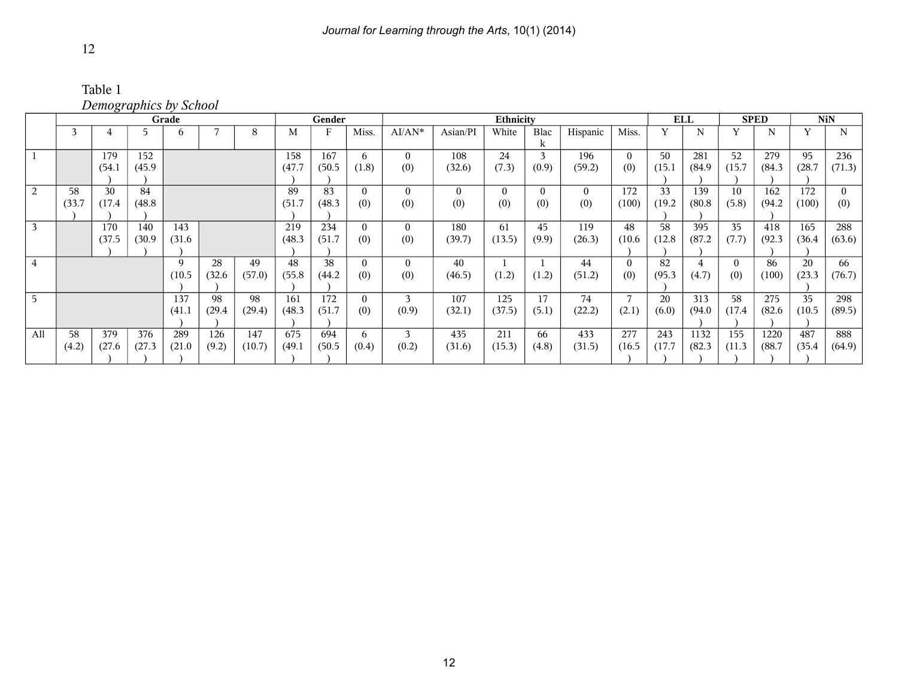Table 1 *Demographics by School*

|                | Grade        |               |               |                       | Gender       |               |               | Ethnicity     |                       |                     |                 |                 |                       | <b>ELL</b>    |               | <b>SPED</b>  |                | <b>NiN</b>      |                |               |                 |
|----------------|--------------|---------------|---------------|-----------------------|--------------|---------------|---------------|---------------|-----------------------|---------------------|-----------------|-----------------|-----------------------|---------------|---------------|--------------|----------------|-----------------|----------------|---------------|-----------------|
|                | 3            | 4             | ר             | h                     |              | 8             | M             | F             | Miss.                 | $AI/AN*$            | Asian/PI        | White           | Blac<br>k             | Hispanic      | Miss.         | Y            | N              |                 | N              | Y             | N               |
|                |              | 179<br>(54.1) | 152<br>(45.9) |                       |              |               | 158<br>(47.7) | 167<br>(50.5  | 6<br>(1.8)            | $\mathbf{0}$<br>(0) | 108<br>(32.6)   | 24<br>(7.3)     | 3<br>(0.9)            | 196<br>(59.2) | 0<br>(0)      | 50<br>(15.1) | 281<br>(84.9)  | 52<br>(15.7)    | 279<br>(84.3)  | 95<br>(28.7)  | 236<br>(71.3)   |
| 2              | 58<br>(33.7) | 30<br>(17.4)  | 84<br>(48.8)  |                       |              |               | 89<br>(51.7)  | 83<br>(48.3   | $\Omega$<br>(0)       | $\theta$<br>(0)     | $\theta$<br>(0) | $\theta$<br>(0) | $\overline{0}$<br>(0) | 0<br>(0)      | 172<br>(100)  | 33<br>(19.2) | 139<br>(80.8)  | 10<br>(5.8)     | 162<br>(94.2)  | 172<br>(100)  | $\theta$<br>(0) |
| 3              |              | 170<br>(37.5) | 140<br>(30.9) | 143<br>(31.6)         |              |               | 219<br>(48.3) | 234<br>(51.7) | $\overline{0}$<br>(0) | $\mathbf{0}$<br>(0) | 180<br>(39.7)   | 61<br>(13.5)    | 45<br>(9.9)           | 119<br>(26.3) | 48<br>(10.6)  | 58<br>(12.8) | 395<br>(87.2)  | 35<br>(7.7)     | 418<br>(92.3)  | 165<br>(36.4) | 288<br>(63.6)   |
| $\overline{4}$ |              |               |               | $\mathbf Q$<br>(10.5) | 28<br>(32.6  | 49<br>(57.0)  | 48<br>(55.8)  | 38<br>(44.2   | $\Omega$<br>(0)       | $\mathbf{0}$<br>(0) | 40<br>(46.5)    | (1.2)           | (1.2)                 | 44<br>(51.2)  | (0)           | 82<br>(95.3) | 4<br>(4.7)     | $\Omega$<br>(0) | 86<br>(100)    | 20<br>(23.3)  | 66<br>(76.7)    |
| 5              |              |               |               | 137<br>(41.1)         | 98<br>(29.4) | 98<br>(29.4)  | 161<br>(48.3) | 172<br>(51.7) | $\Omega$<br>(0)       | 3<br>(0.9)          | 107<br>(32.1)   | 125<br>(37.5)   | 17<br>(5.1)           | 74<br>(22.2)  | (2.1)         | 20<br>(6.0)  | 313<br>(94.0)  | 58<br>(17.4)    | 275<br>(82.6)  | 35<br>(10.5)  | 298<br>(89.5)   |
| All            | 58<br>(4.2)  | 379<br>(27.6) | 376<br>(27.3) | 289<br>(21.0)         | 126<br>(9.2) | 147<br>(10.7) | 675<br>(49.1) | 694<br>(50.5) | 6<br>(0.4)            | 3<br>(0.2)          | 435<br>(31.6)   | 211<br>(15.3)   | 66<br>(4.8)           | 433<br>(31.5) | 277<br>(16.5) | 243<br>(17.7 | 1132<br>(82.3) | 155<br>(11.3)   | 1220<br>(88.7) | 487<br>(35.4) | 888<br>(64.9)   |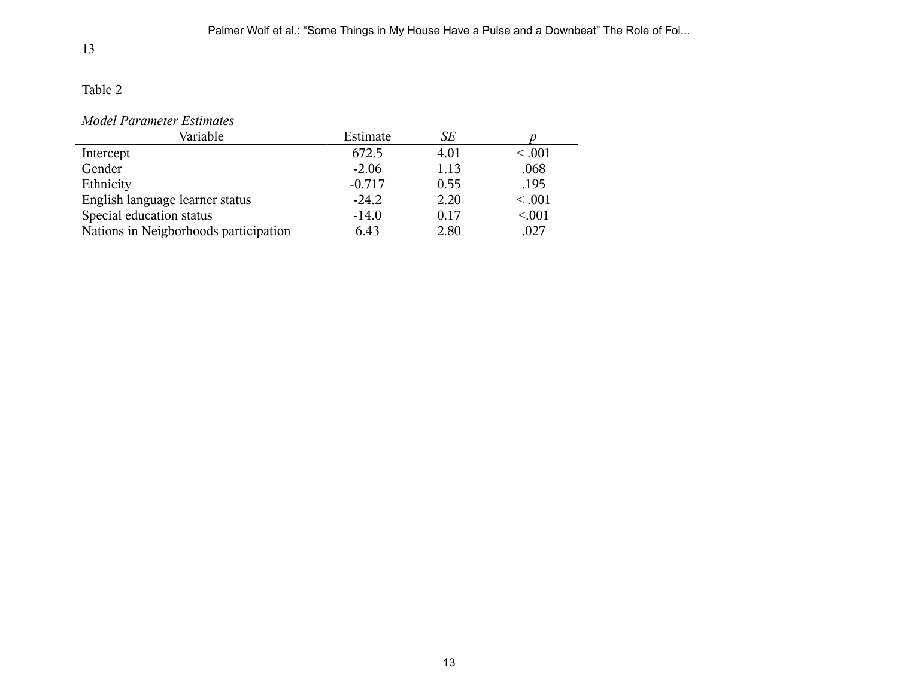# Table 2

# *Model Parameter Estimates*

| Variable                              | Estimate | SE   |         |
|---------------------------------------|----------|------|---------|
| Intercept                             | 672.5    | 4.01 | < 0.001 |
| Gender                                | $-2.06$  | 1.13 | .068    |
| Ethnicity                             | $-0.717$ | 0.55 | .195    |
| English language learner status       | $-24.2$  | 2.20 | < 0.001 |
| Special education status              | $-14.0$  | 0.17 | < 0.01  |
| Nations in Neigborhoods participation | 6.43     | 2.80 | .027    |